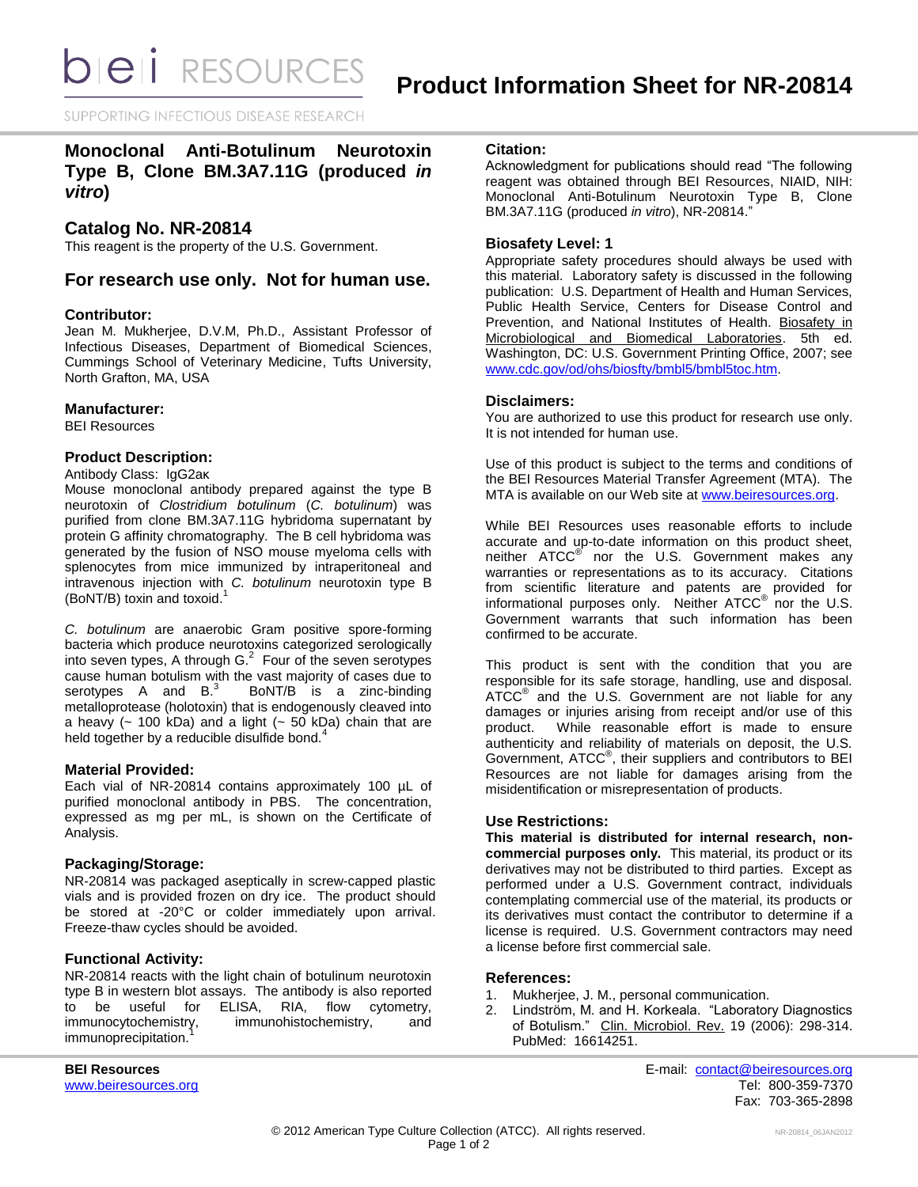**bieli** RESOURCES

SUPPORTING INFECTIOUS DISEASE RESEARCH

# **Monoclonal Anti-Botulinum Neurotoxin Type B, Clone BM.3A7.11G (produced** *in vitro***)**

# **Catalog No. NR-20814**

This reagent is the property of the U.S. Government.

# **For research use only. Not for human use.**

### **Contributor:**

Jean M. Mukherjee, D.V.M, Ph.D., Assistant Professor of Infectious Diseases, Department of Biomedical Sciences, Cummings School of Veterinary Medicine, Tufts University, North Grafton, MA, USA

### **Manufacturer:**

BEI Resources

### **Product Description:**

Antibody Class: IgG2aκ

Mouse monoclonal antibody prepared against the type B neurotoxin of *Clostridium botulinum* (*C. botulinum*) was purified from clone BM.3A7.11G hybridoma supernatant by protein G affinity chromatography. The B cell hybridoma was generated by the fusion of NSO mouse myeloma cells with splenocytes from mice immunized by intraperitoneal and intravenous injection with *C. botulinum* neurotoxin type B (BoNT/B) toxin and toxoid. 1

*C. botulinum* are anaerobic Gram positive spore-forming bacteria which produce neurotoxins categorized serologically into seven types, A through  $G<sup>2</sup>$  Four of the seven serotypes cause human botulism with the vast majority of cases due to serotypes A and B.<sup>3</sup> BoNT/B is a zinc-binding metalloprotease (holotoxin) that is endogenously cleaved into a heavy  $(-100 kDa)$  and a light  $(-50 kDa)$  chain that are held together by a reducible disulfide bond.<sup>4</sup>

### **Material Provided:**

Each vial of NR-20814 contains approximately 100 µL of purified monoclonal antibody in PBS. The concentration, expressed as mg per mL, is shown on the Certificate of Analysis.

# **Packaging/Storage:**

NR-20814 was packaged aseptically in screw-capped plastic vials and is provided frozen on dry ice. The product should be stored at -20°C or colder immediately upon arrival. Freeze-thaw cycles should be avoided.

### **Functional Activity:**

NR-20814 reacts with the light chain of botulinum neurotoxin type B in western blot assays. The antibody is also reported to be useful for ELISA, RIA, flow cytometry,<br>immunocytochemistry, immunohistochemistry, and immunohistochemistry, and immunoprecipitation.

### **Citation:**

Acknowledgment for publications should read "The following reagent was obtained through BEI Resources, NIAID, NIH: Monoclonal Anti-Botulinum Neurotoxin Type B, Clone BM.3A7.11G (produced *in vitro*), NR-20814."

### **Biosafety Level: 1**

Appropriate safety procedures should always be used with this material. Laboratory safety is discussed in the following publication: U.S. Department of Health and Human Services, Public Health Service, Centers for Disease Control and Prevention, and National Institutes of Health. Biosafety in Microbiological and Biomedical Laboratories. 5th ed. Washington, DC: U.S. Government Printing Office, 2007; see [www.cdc.gov/od/ohs/biosfty/bmbl5/bmbl5toc.htm.](http://www.cdc.gov/od/ohs/biosfty/bmbl5/bmbl5toc.htm)

### **Disclaimers:**

You are authorized to use this product for research use only. It is not intended for human use.

Use of this product is subject to the terms and conditions of the BEI Resources Material Transfer Agreement (MTA). The MTA is available on our Web site at [www.beiresources.org.](http://www.beiresources.org/)

While BEI Resources uses reasonable efforts to include accurate and up-to-date information on this product sheet, neither ATCC<sup>®</sup> nor the U.S. Government makes any warranties or representations as to its accuracy. Citations from scientific literature and patents are provided for informational purposes only. Neither ATCC<sup>®</sup> nor the U.S. Government warrants that such information has been confirmed to be accurate.

This product is sent with the condition that you are responsible for its safe storage, handling, use and disposal. ATCC<sup>®</sup> and the U.S. Government are not liable for any damages or injuries arising from receipt and/or use of this product. While reasonable effort is made to ensure authenticity and reliability of materials on deposit, the U.S. Government, ATCC® , their suppliers and contributors to BEI Resources are not liable for damages arising from the misidentification or misrepresentation of products.

### **Use Restrictions:**

**This material is distributed for internal research, noncommercial purposes only.** This material, its product or its derivatives may not be distributed to third parties. Except as performed under a U.S. Government contract, individuals contemplating commercial use of the material, its products or its derivatives must contact the contributor to determine if a license is required. U.S. Government contractors may need a license before first commercial sale.

### **References:**

- 1. Mukherjee, J. M., personal communication.
- 2. Lindström, M. and H. Korkeala. "Laboratory Diagnostics of Botulism." Clin. Microbiol. Rev. 19 (2006): 298-314. PubMed: 16614251.